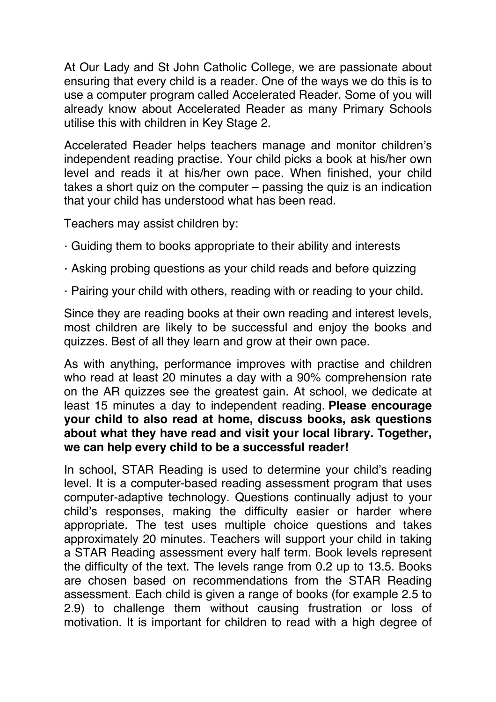At Our Lady and St John Catholic College, we are passionate about ensuring that every child is a reader. One of the ways we do this is to use a computer program called Accelerated Reader. Some of you will already know about Accelerated Reader as many Primary Schools utilise this with children in Key Stage 2.

Accelerated Reader helps teachers manage and monitor children's independent reading practise. Your child picks a book at his/her own level and reads it at his/her own pace. When finished, your child takes a short quiz on the computer – passing the quiz is an indication that your child has understood what has been read.

Teachers may assist children by:

- · Guiding them to books appropriate to their ability and interests
- · Asking probing questions as your child reads and before quizzing
- · Pairing your child with others, reading with or reading to your child.

Since they are reading books at their own reading and interest levels, most children are likely to be successful and enjoy the books and quizzes. Best of all they learn and grow at their own pace.

As with anything, performance improves with practise and children who read at least 20 minutes a day with a 90% comprehension rate on the AR quizzes see the greatest gain. At school, we dedicate at least 15 minutes a day to independent reading. **Please encourage your child to also read at home, discuss books, ask questions about what they have read and visit your local library. Together, we can help every child to be a successful reader!** 

In school, STAR Reading is used to determine your child's reading level. It is a computer-based reading assessment program that uses computer-adaptive technology. Questions continually adjust to your child's responses, making the difficulty easier or harder where appropriate. The test uses multiple choice questions and takes approximately 20 minutes. Teachers will support your child in taking a STAR Reading assessment every half term. Book levels represent the difficulty of the text. The levels range from 0.2 up to 13.5. Books are chosen based on recommendations from the STAR Reading assessment. Each child is given a range of books (for example 2.5 to 2.9) to challenge them without causing frustration or loss of motivation. It is important for children to read with a high degree of